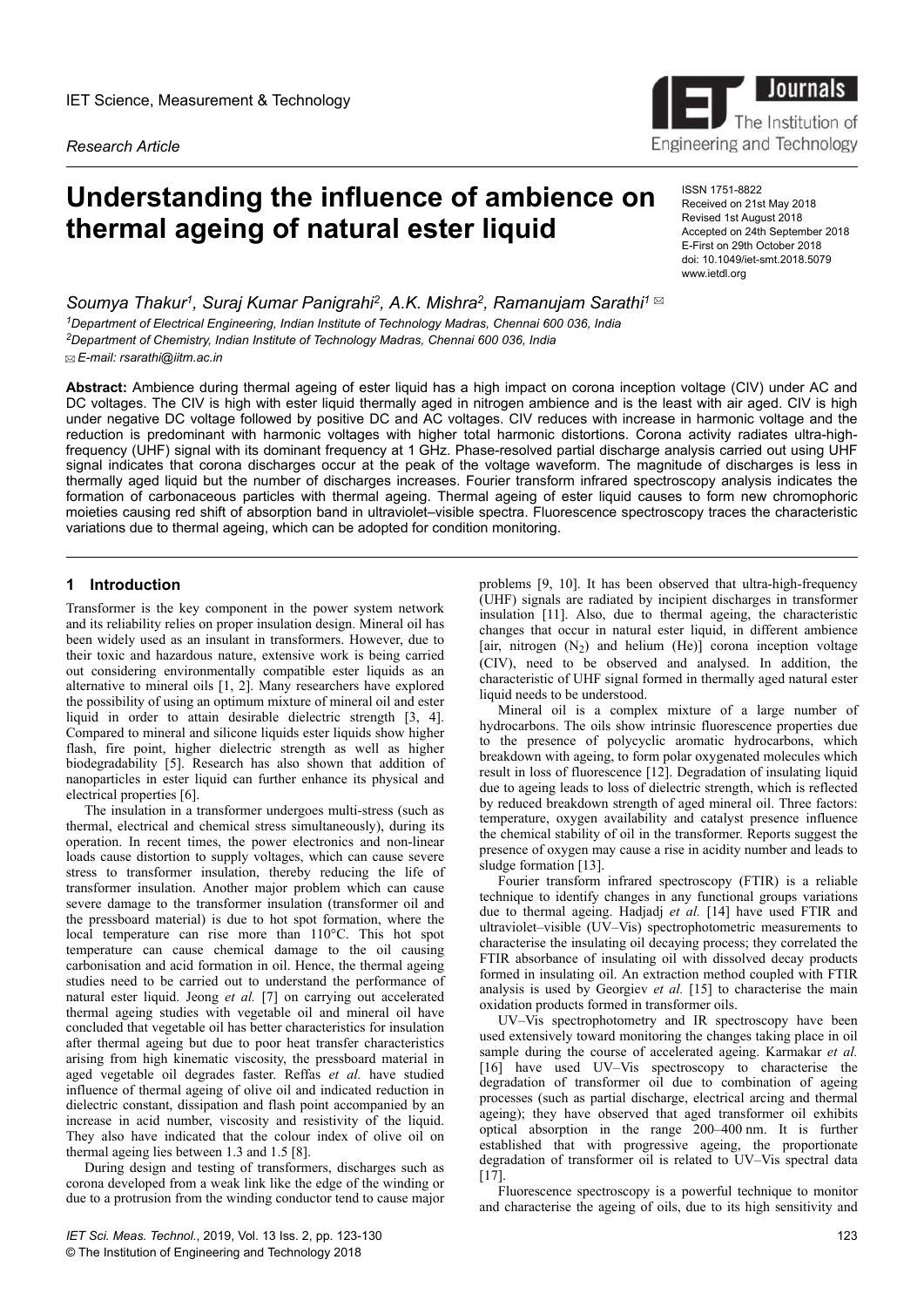*Research Article*

# **Understanding the influence of ambience on thermal ageing of natural ester liquid**

ISSN 1751-8822 Received on 21st May 2018 Revised 1st August 2018 Accepted on 24th September 2018 E-First on 29th October 2018 doi: 10.1049/iet-smt.2018.5079

www.ietdl.org

*Soumya Thakur<sup>1</sup> , Suraj Kumar Panigrahi<sup>2</sup> , A.K. Mishra<sup>2</sup> , Ramanujam Sarathi<sup>1</sup> <sup>1</sup>Department of Electrical Engineering, Indian Institute of Technology Madras, Chennai 600 036, India <sup>2</sup>Department of Chemistry, Indian Institute of Technology Madras, Chennai 600 036, India E-mail: rsarathi@iitm.ac.in*

**Abstract:** Ambience during thermal ageing of ester liquid has a high impact on corona inception voltage (CIV) under AC and DC voltages. The CIV is high with ester liquid thermally aged in nitrogen ambience and is the least with air aged. CIV is high under negative DC voltage followed by positive DC and AC voltages. CIV reduces with increase in harmonic voltage and the reduction is predominant with harmonic voltages with higher total harmonic distortions. Corona activity radiates ultra-highfrequency (UHF) signal with its dominant frequency at 1 GHz. Phase-resolved partial discharge analysis carried out using UHF signal indicates that corona discharges occur at the peak of the voltage waveform. The magnitude of discharges is less in thermally aged liquid but the number of discharges increases. Fourier transform infrared spectroscopy analysis indicates the formation of carbonaceous particles with thermal ageing. Thermal ageing of ester liquid causes to form new chromophoric moieties causing red shift of absorption band in ultraviolet–visible spectra. Fluorescence spectroscopy traces the characteristic variations due to thermal ageing, which can be adopted for condition monitoring.

# **1** Introduction

Transformer is the key component in the power system network and its reliability relies on proper insulation design. Mineral oil has been widely used as an insulant in transformers. However, due to their toxic and hazardous nature, extensive work is being carried out considering environmentally compatible ester liquids as an alternative to mineral oils [1, 2]. Many researchers have explored the possibility of using an optimum mixture of mineral oil and ester liquid in order to attain desirable dielectric strength [3, 4]. Compared to mineral and silicone liquids ester liquids show higher flash, fire point, higher dielectric strength as well as higher biodegradability [5]. Research has also shown that addition of nanoparticles in ester liquid can further enhance its physical and electrical properties [6].

The insulation in a transformer undergoes multi-stress (such as thermal, electrical and chemical stress simultaneously), during its operation. In recent times, the power electronics and non-linear loads cause distortion to supply voltages, which can cause severe stress to transformer insulation, thereby reducing the life of transformer insulation. Another major problem which can cause severe damage to the transformer insulation (transformer oil and the pressboard material) is due to hot spot formation, where the local temperature can rise more than 110°C. This hot spot temperature can cause chemical damage to the oil causing carbonisation and acid formation in oil. Hence, the thermal ageing studies need to be carried out to understand the performance of natural ester liquid. Jeong *et al.* [7] on carrying out accelerated thermal ageing studies with vegetable oil and mineral oil have concluded that vegetable oil has better characteristics for insulation after thermal ageing but due to poor heat transfer characteristics arising from high kinematic viscosity, the pressboard material in aged vegetable oil degrades faster. Reffas *et al.* have studied influence of thermal ageing of olive oil and indicated reduction in dielectric constant, dissipation and flash point accompanied by an increase in acid number, viscosity and resistivity of the liquid. They also have indicated that the colour index of olive oil on thermal ageing lies between 1.3 and 1.5 [8].

During design and testing of transformers, discharges such as corona developed from a weak link like the edge of the winding or due to a protrusion from the winding conductor tend to cause major

problems [9, 10]. It has been observed that ultra-high-frequency (UHF) signals are radiated by incipient discharges in transformer insulation [11]. Also, due to thermal ageing, the characteristic changes that occur in natural ester liquid, in different ambience [air, nitrogen  $(N_2)$  and helium (He)] corona inception voltage (CIV), need to be observed and analysed. In addition, the characteristic of UHF signal formed in thermally aged natural ester liquid needs to be understood.

Mineral oil is a complex mixture of a large number of hydrocarbons. The oils show intrinsic fluorescence properties due to the presence of polycyclic aromatic hydrocarbons, which breakdown with ageing, to form polar oxygenated molecules which result in loss of fluorescence [12]. Degradation of insulating liquid due to ageing leads to loss of dielectric strength, which is reflected by reduced breakdown strength of aged mineral oil. Three factors: temperature, oxygen availability and catalyst presence influence the chemical stability of oil in the transformer. Reports suggest the presence of oxygen may cause a rise in acidity number and leads to sludge formation [13].

Fourier transform infrared spectroscopy (FTIR) is a reliable technique to identify changes in any functional groups variations due to thermal ageing. Hadjadj *et al.* [14] have used FTIR and ultraviolet–visible (UV–Vis) spectrophotometric measurements to characterise the insulating oil decaying process; they correlated the FTIR absorbance of insulating oil with dissolved decay products formed in insulating oil. An extraction method coupled with FTIR analysis is used by Georgiev *et al.* [15] to characterise the main oxidation products formed in transformer oils.

UV–Vis spectrophotometry and IR spectroscopy have been used extensively toward monitoring the changes taking place in oil sample during the course of accelerated ageing. Karmakar *et al.* [16] have used UV–Vis spectroscopy to characterise the degradation of transformer oil due to combination of ageing processes (such as partial discharge, electrical arcing and thermal ageing); they have observed that aged transformer oil exhibits optical absorption in the range 200–400 nm. It is further established that with progressive ageing, the proportionate degradation of transformer oil is related to UV–Vis spectral data [17].

Fluorescence spectroscopy is a powerful technique to monitor and characterise the ageing of oils, due to its high sensitivity and

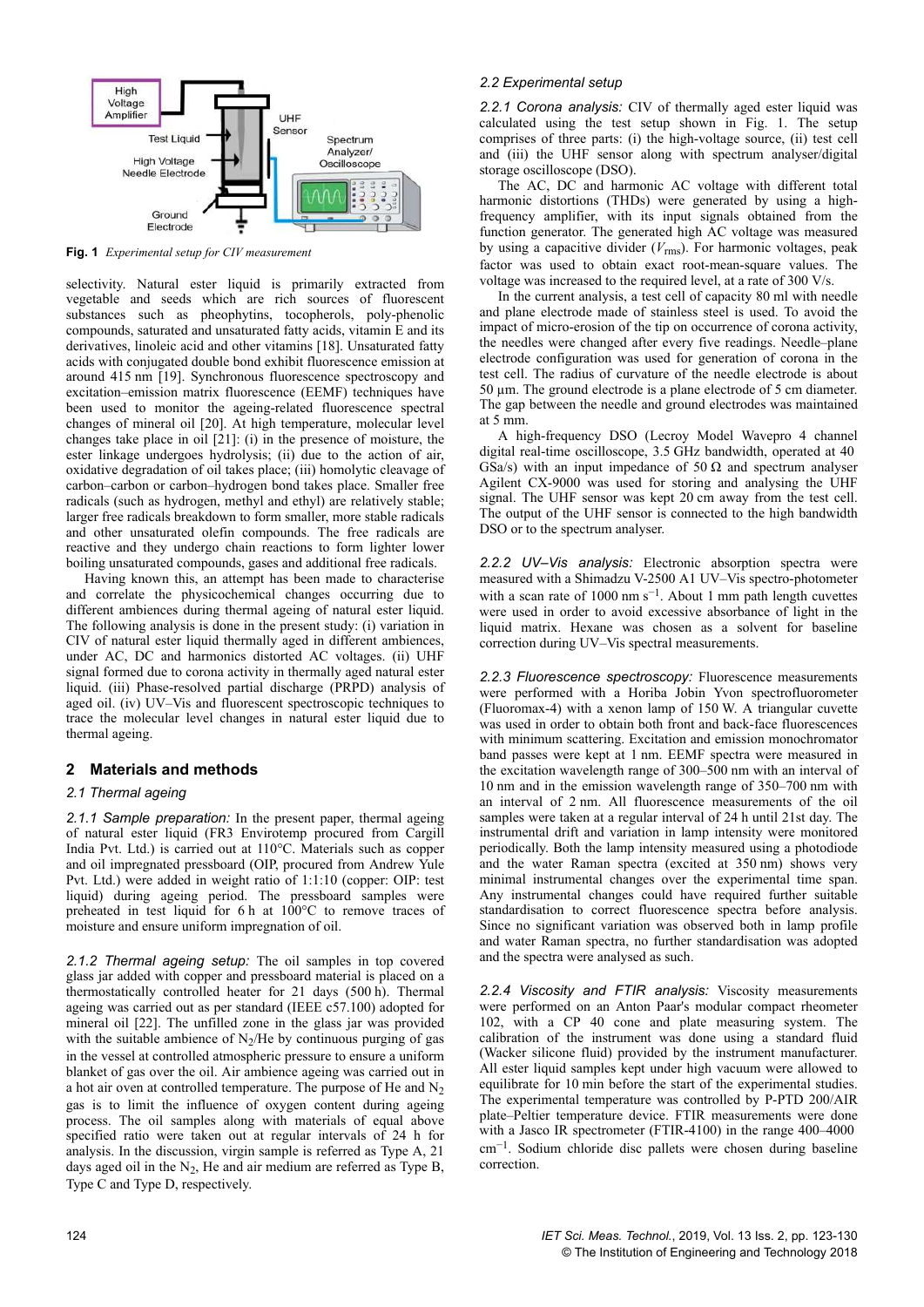

**Fig. 1** *Experimental setup for CIV measurement*

selectivity. Natural ester liquid is primarily extracted from vegetable and seeds which are rich sources of fluorescent substances such as pheophytins, tocopherols, poly-phenolic compounds, saturated and unsaturated fatty acids, vitamin E and its derivatives, linoleic acid and other vitamins [18]. Unsaturated fatty acids with conjugated double bond exhibit fluorescence emission at around 415 nm [19]. Synchronous fluorescence spectroscopy and excitation–emission matrix fluorescence (EEMF) techniques have been used to monitor the ageing-related fluorescence spectral changes of mineral oil [20]. At high temperature, molecular level changes take place in oil [21]: (i) in the presence of moisture, the ester linkage undergoes hydrolysis; (ii) due to the action of air, oxidative degradation of oil takes place; (iii) homolytic cleavage of carbon–carbon or carbon–hydrogen bond takes place. Smaller free radicals (such as hydrogen, methyl and ethyl) are relatively stable; larger free radicals breakdown to form smaller, more stable radicals and other unsaturated olefin compounds. The free radicals are reactive and they undergo chain reactions to form lighter lower boiling unsaturated compounds, gases and additional free radicals.

Having known this, an attempt has been made to characterise and correlate the physicochemical changes occurring due to different ambiences during thermal ageing of natural ester liquid. The following analysis is done in the present study: (i) variation in CIV of natural ester liquid thermally aged in different ambiences, under AC, DC and harmonics distorted AC voltages. (ii) UHF signal formed due to corona activity in thermally aged natural ester liquid. (iii) Phase-resolved partial discharge (PRPD) analysis of aged oil. (iv) UV–Vis and fluorescent spectroscopic techniques to trace the molecular level changes in natural ester liquid due to thermal ageing.

## **2Materials and methods**

## *2.1 Thermal ageing*

*2.1.1 Sample preparation:* In the present paper, thermal ageing of natural ester liquid (FR3 Envirotemp procured from Cargill India Pvt. Ltd.) is carried out at 110°C. Materials such as copper and oil impregnated pressboard (OIP, procured from Andrew Yule Pvt. Ltd.) were added in weight ratio of 1:1:10 (copper: OIP: test liquid) during ageing period. The pressboard samples were preheated in test liquid for  $6 h$  at  $100^{\circ}$ C to remove traces of moisture and ensure uniform impregnation of oil.

*2.1.2 Thermal ageing setup:* The oil samples in top covered glass jar added with copper and pressboard material is placed on a thermostatically controlled heater for 21 days (500 h). Thermal ageing was carried out as per standard (IEEE c57.100) adopted for mineral oil [22]. The unfilled zone in the glass jar was provided with the suitable ambience of  $N_2$ /He by continuous purging of gas in the vessel at controlled atmospheric pressure to ensure a uniform blanket of gas over the oil. Air ambience ageing was carried out in a hot air oven at controlled temperature. The purpose of He and  $N_2$ gas is to limit the influence of oxygen content during ageing process. The oil samples along with materials of equal above specified ratio were taken out at regular intervals of 24 h for analysis. In the discussion, virgin sample is referred as Type A, 21 days aged oil in the  $N_2$ , He and air medium are referred as Type B, Type C and Type D, respectively.

#### *2.2 Experimental setup*

*2.2.1 Corona analysis:* CIV of thermally aged ester liquid was calculated using the test setup shown in Fig. 1. The setup comprises of three parts: (i) the high-voltage source, (ii) test cell and (iii) the UHF sensor along with spectrum analyser/digital storage oscilloscope (DSO).

The AC, DC and harmonic AC voltage with different total harmonic distortions (THDs) were generated by using a highfrequency amplifier, with its input signals obtained from the function generator. The generated high AC voltage was measured by using a capacitive divider  $(V_{\text{rms}})$ . For harmonic voltages, peak factor was used to obtain exact root-mean-square values. The voltage was increased to the required level, at a rate of 300 V/s.

In the current analysis, a test cell of capacity 80 ml with needle and plane electrode made of stainless steel is used. To avoid the impact of micro-erosion of the tip on occurrence of corona activity, the needles were changed after every five readings. Needle–plane electrode configuration was used for generation of corona in the test cell. The radius of curvature of the needle electrode is about 50 µm. The ground electrode is a plane electrode of 5 cm diameter. The gap between the needle and ground electrodes was maintained at 5 $\overline{mn}$ 

A high-frequency DSO (Lecroy Model Wavepro 4 channel digital real-time oscilloscope, 3.5 GHz bandwidth, operated at 40  GSa/s) with an input impedance of 50  $\Omega$  and spectrum analyser Agilent CX-9000 was used for storing and analysing the UHF signal. The UHF sensor was kept 20 cm away from the test cell. The output of the UHF sensor is connected to the high bandwidth DSO or to the spectrum analyser.

*2.2.2 UV–Vis analysis:* Electronic absorption spectra were measured with a Shimadzu V-2500 A1 UV–Vis spectro-photometer with a scan rate of 1000 nm  $s^{-1}$ . About 1 mm path length cuvettes were used in order to avoid excessive absorbance of light in the liquid matrix. Hexane was chosen as a solvent for baseline correction during UV–Vis spectral measurements.

*2.2.3 Fluorescence spectroscopy:* Fluorescence measurements were performed with a Horiba Jobin Yvon spectrofluorometer (Fluoromax-4) with a xenon lamp of 150 W. A triangular cuvette was used in order to obtain both front and back-face fluorescences with minimum scattering. Excitation and emission monochromator band passes were kept at 1 nm. EEMF spectra were measured in the excitation wavelength range of 300–500 nm with an interval of 10 nm and in the emission wavelength range of 350–700 nm with an interval of 2 nm. All fluorescence measurements of the oil samples were taken at a regular interval of 24 h until 21st day. The instrumental drift and variation in lamp intensity were monitored periodically. Both the lamp intensity measured using a photodiode and the water Raman spectra (excited at 350 nm) shows very minimal instrumental changes over the experimental time span. Any instrumental changes could have required further suitable standardisation to correct fluorescence spectra before analysis. Since no significant variation was observed both in lamp profile and water Raman spectra, no further standardisation was adopted and the spectra were analysed as such.

*2.2.4 Viscosity and FTIR analysis:* Viscosity measurements were performed on an Anton Paar's modular compact rheometer 102, with a CP 40 cone and plate measuring system. The calibration of the instrument was done using a standard fluid (Wacker silicone fluid) provided by the instrument manufacturer. All ester liquid samples kept under high vacuum were allowed to equilibrate for 10 min before the start of the experimental studies. The experimental temperature was controlled by P-PTD 200/AIR plate–Peltier temperature device. FTIR measurements were done with a Jasco IR spectrometer (FTIR-4100) in the range 400–4000  cm−1. Sodium chloride disc pallets were chosen during baseline correction.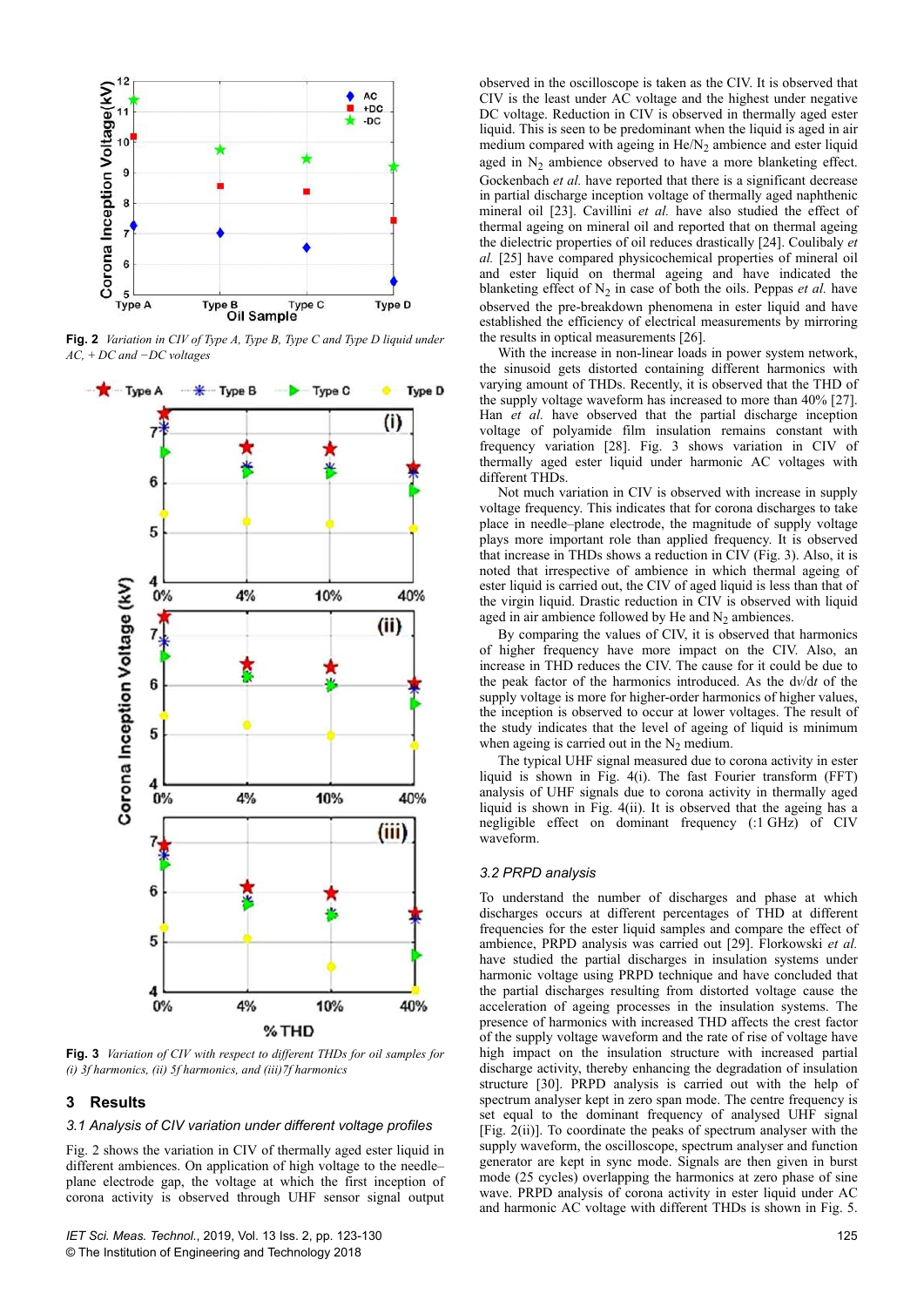

**Fig. 2** *Variation in CIV of Type A, Type B, Type C and Type D liquid under AC, + DC and −DC voltages*



**Fig. 3** *Variation of CIV with respect to different THDs for oil samples for (i) 3f harmonics, (ii) 5f harmonics, and (iii)7f harmonics*

## **3Results**

## *3.1 Analysis of CIV variation under different voltage profiles*

Fig. 2 shows the variation in CIV of thermally aged ester liquid in different ambiences. On application of high voltage to the needle– plane electrode gap, the voltage at which the first inception of corona activity is observed through UHF sensor signal output

observed in the oscilloscope is taken as the CIV. It is observed that CIV is the least under AC voltage and the highest under negative DC voltage. Reduction in CIV is observed in thermally aged ester liquid. This is seen to be predominant when the liquid is aged in air medium compared with ageing in  $He/N<sub>2</sub>$  ambience and ester liquid aged in  $N_2$  ambience observed to have a more blanketing effect. Gockenbach *et al.* have reported that there is a significant decrease in partial discharge inception voltage of thermally aged naphthenic mineral oil [23]. Cavillini *et al.* have also studied the effect of thermal ageing on mineral oil and reported that on thermal ageing the dielectric properties of oil reduces drastically [24]. Coulibaly *et al.* [25] have compared physicochemical properties of mineral oil and ester liquid on thermal ageing and have indicated the blanketing effect of  $N_2$  in case of both the oils. Peppas *et al.* have observed the pre-breakdown phenomena in ester liquid and have established the efficiency of electrical measurements by mirroring the results in optical measurements [26].

With the increase in non-linear loads in power system network. the sinusoid gets distorted containing different harmonics with varying amount of THDs. Recently, it is observed that the THD of the supply voltage waveform has increased to more than 40% [27]. Han *et al.* have observed that the partial discharge inception voltage of polyamide film insulation remains constant with frequency variation [28]. Fig. 3 shows variation in CIV of thermally aged ester liquid under harmonic AC voltages with different THDs.

Not much variation in CIV is observed with increase in supply voltage frequency. This indicates that for corona discharges to take place in needle–plane electrode, the magnitude of supply voltage plays more important role than applied frequency. It is observed that increase in THDs shows a reduction in CIV (Fig. 3). Also, it is noted that irrespective of ambience in which thermal ageing of ester liquid is carried out, the CIV of aged liquid is less than that of the virgin liquid. Drastic reduction in CIV is observed with liquid aged in air ambience followed by He and  $N_2$  ambiences.

By comparing the values of CIV, it is observed that harmonics of higher frequency have more impact on the CIV. Also, an increase in THD reduces the CIV. The cause for it could be due to the peak factor of the harmonics introduced. As the d*v*/d*t* of the supply voltage is more for higher-order harmonics of higher values, the inception is observed to occur at lower voltages. The result of the study indicates that the level of ageing of liquid is minimum when ageing is carried out in the  $N_2$  medium.

The typical UHF signal measured due to corona activity in ester liquid is shown in Fig. 4(i). The fast Fourier transform (FFT) analysis of UHF signals due to corona activity in thermally aged liquid is shown in Fig. 4(ii). It is observed that the ageing has a negligible effect on dominant frequency (:1 GHz) of CIV waveform.

#### *3.2 PRPD analysis*

To understand the number of discharges and phase at which discharges occurs at different percentages of THD at different frequencies for the ester liquid samples and compare the effect of ambience, PRPD analysis was carried out [29]. Florkowski *et al.* have studied the partial discharges in insulation systems under harmonic voltage using PRPD technique and have concluded that the partial discharges resulting from distorted voltage cause the acceleration of ageing processes in the insulation systems. The presence of harmonics with increased THD affects the crest factor of the supply voltage waveform and the rate of rise of voltage have high impact on the insulation structure with increased partial discharge activity, thereby enhancing the degradation of insulation structure [30]. PRPD analysis is carried out with the help of spectrum analyser kept in zero span mode. The centre frequency is set equal to the dominant frequency of analysed UHF signal [Fig. 2(ii)]. To coordinate the peaks of spectrum analyser with the supply waveform, the oscilloscope, spectrum analyser and function generator are kept in sync mode. Signals are then given in burst mode (25 cycles) overlapping the harmonics at zero phase of sine wave. PRPD analysis of corona activity in ester liquid under AC and harmonic AC voltage with different THDs is shown in Fig. 5.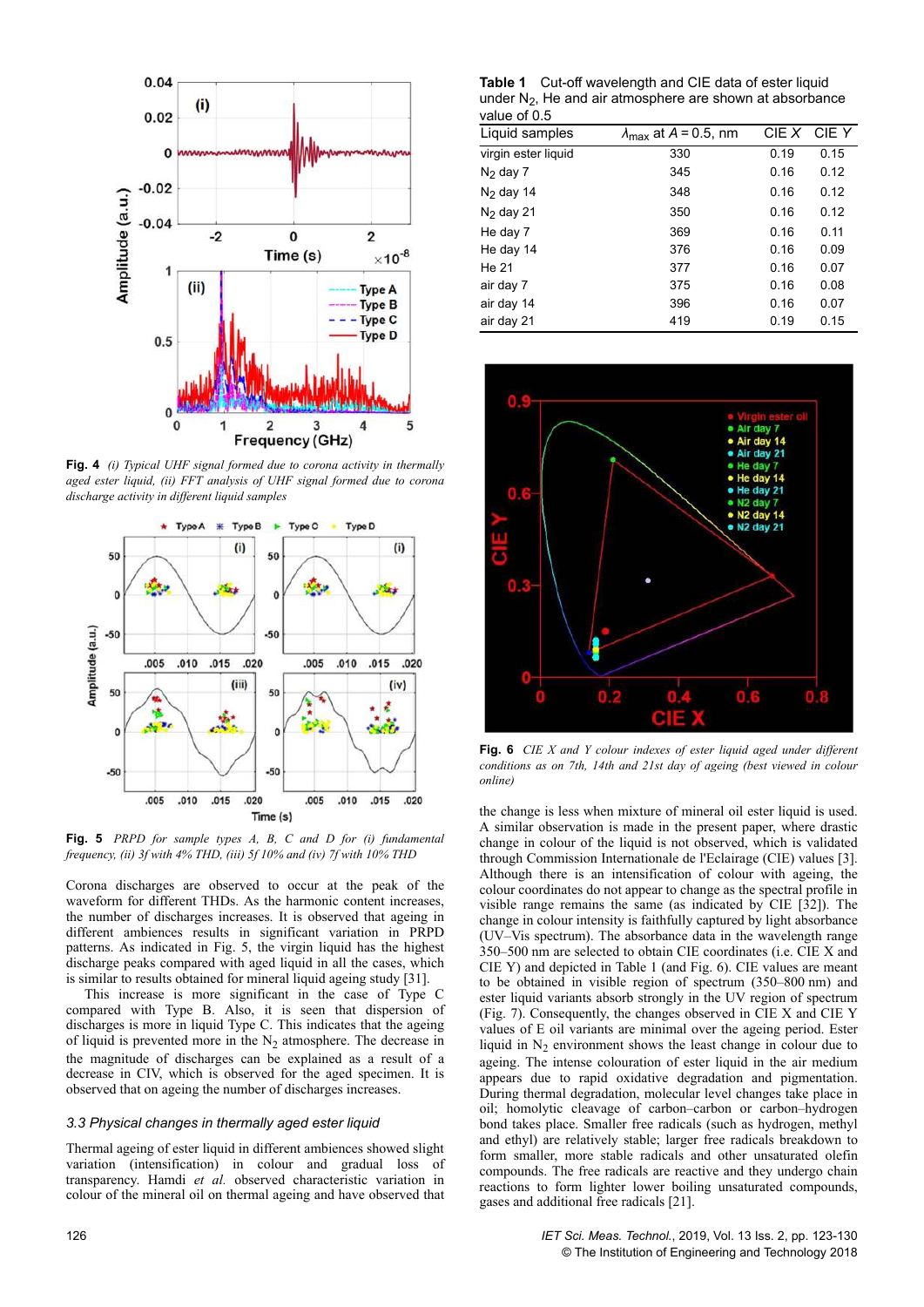

**Fig. 4** *(i) Typical UHF signal formed due to corona activity in thermally aged ester liquid, (ii) FFT analysis of UHF signal formed due to corona discharge activity in different liquid samples*



**Fig. 5** *PRPD for sample types A, B, C and D for (i) fundamental frequency, (ii) 3f with 4% THD, (iii) 5f 10% and (iv) 7f with 10% THD*

Corona discharges are observed to occur at the peak of the waveform for different THDs. As the harmonic content increases, the number of discharges increases. It is observed that ageing in different ambiences results in significant variation in PRPD patterns. As indicated in Fig. 5, the virgin liquid has the highest discharge peaks compared with aged liquid in all the cases, which is similar to results obtained for mineral liquid ageing study [31].

This increase is more significant in the case of Type C compared with Type B. Also, it is seen that dispersion of discharges is more in liquid Type C. This indicates that the ageing of liquid is prevented more in the  $N_2$  atmosphere. The decrease in the magnitude of discharges can be explained as a result of a decrease in CIV, which is observed for the aged specimen. It is observed that on ageing the number of discharges increases.

# *3.3 Physical changes in thermally aged ester liquid*

Thermal ageing of ester liquid in different ambiences showed slight variation (intensification) in colour and gradual loss of transparency. Hamdi *et al.* observed characteristic variation in colour of the mineral oil on thermal ageing and have observed that

**Table 1** Cut-off wavelength and CIE data of ester liquid under  $N_2$ , He and air atmosphere are shown at absorbance value of 0.5

| Liquid samples      | $CIE$ $X$<br>$\lambda_{\text{max}}$ at A = 0.5, nm |      | CIE Y |
|---------------------|----------------------------------------------------|------|-------|
| virgin ester liguid | 330                                                | 0.19 | 0.15  |
| $N2$ day 7          | 345                                                | 0.16 | 0.12  |
| $N2$ day 14         | 348                                                | 0.16 | 0.12  |
| $N2$ day 21         | 350                                                | 0.16 | 0.12  |
| He day 7            | 369                                                | 0.16 | 0.11  |
| He day 14           | 376                                                | 0.16 | 0.09  |
| He 21               | 377                                                | 0.16 | 0.07  |
| air day 7           | 375                                                | 0.16 | 0.08  |
| air day 14          | 396                                                | 0.16 | 0.07  |
| air day 21          | 419                                                | 0.19 | 0.15  |
|                     |                                                    |      |       |



**Fig. 6** *CIE X and Y colour indexes of ester liquid aged under different conditions as on 7th, 14th and 21st day of ageing (best viewed in colour online)*

the change is less when mixture of mineral oil ester liquid is used. A similar observation is made in the present paper, where drastic change in colour of the liquid is not observed, which is validated through Commission Internationale de l'Eclairage (CIE) values [3]. Although there is an intensification of colour with ageing, the colour coordinates do not appear to change as the spectral profile in visible range remains the same (as indicated by CIE [32]). The change in colour intensity is faithfully captured by light absorbance (UV–Vis spectrum). The absorbance data in the wavelength range 350–500 nm are selected to obtain CIE coordinates (i.e. CIE X and CIE Y) and depicted in Table 1 (and Fig. 6). CIE values are meant to be obtained in visible region of spectrum (350–800 nm) and ester liquid variants absorb strongly in the UV region of spectrum (Fig. 7). Consequently, the changes observed in CIE X and CIE Y values of E oil variants are minimal over the ageing period. Ester liquid in  $N_2$  environment shows the least change in colour due to ageing. The intense colouration of ester liquid in the air medium appears due to rapid oxidative degradation and pigmentation. During thermal degradation, molecular level changes take place in oil; homolytic cleavage of carbon–carbon or carbon–hydrogen bond takes place. Smaller free radicals (such as hydrogen, methyl and ethyl) are relatively stable; larger free radicals breakdown to form smaller, more stable radicals and other unsaturated olefin compounds. The free radicals are reactive and they undergo chain reactions to form lighter lower boiling unsaturated compounds, gases and additional free radicals [21].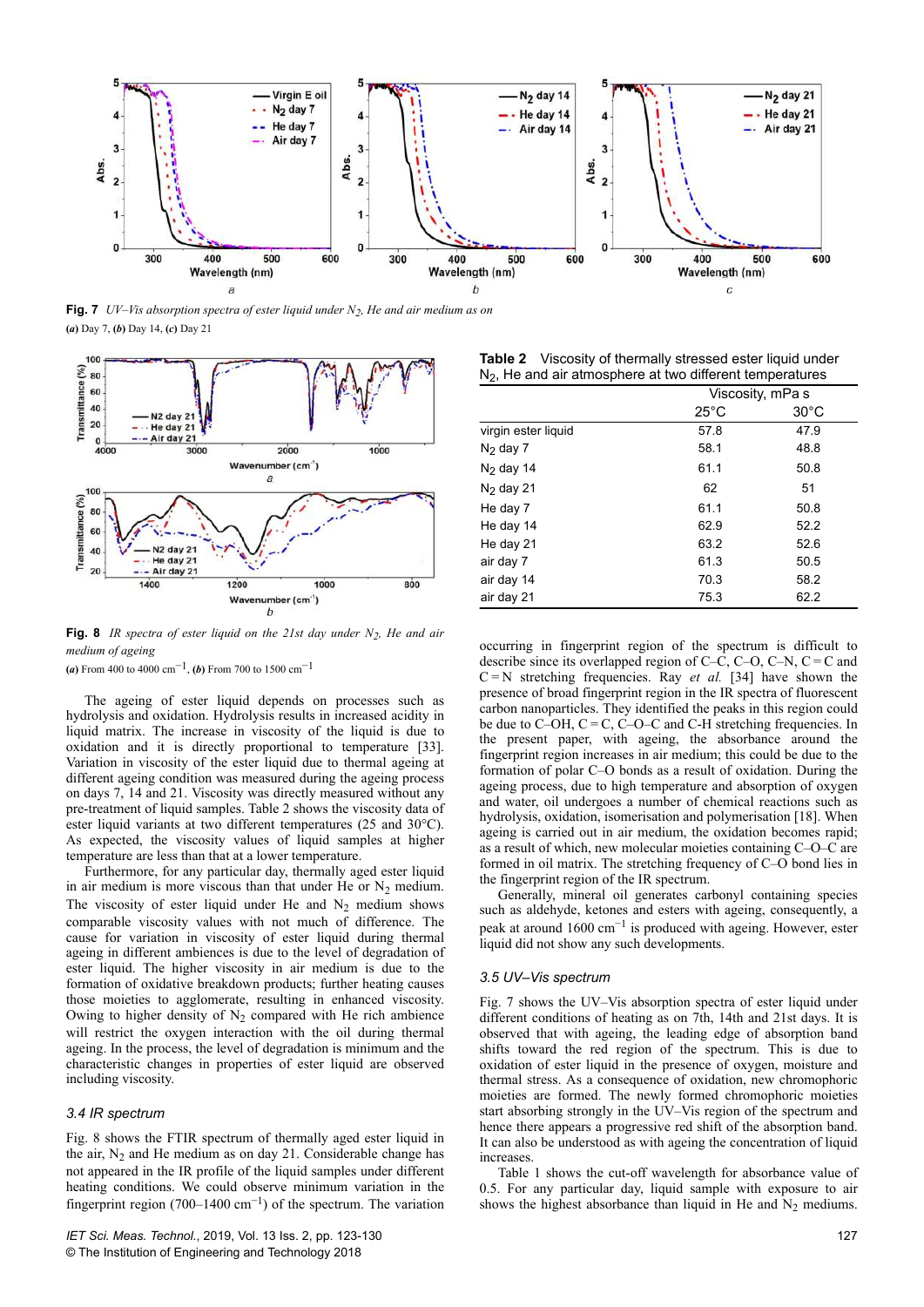

**Fig. 7** *UV–Vis absorption spectra of ester liquid under N2, He and air medium as on* **(***a***)** Day 7, **(***b***)** Day 14, **(***c***)** Day 21



**Fig. 8** *IR spectra of ester liquid on the 21st day under N2, He and air medium of ageing*

**(***a***)** From 400 to 4000 cm−1 , **(***b***)** From 700 to 1500 cm−1

The ageing of ester liquid depends on processes such as hydrolysis and oxidation. Hydrolysis results in increased acidity in liquid matrix. The increase in viscosity of the liquid is due to oxidation and it is directly proportional to temperature [33]. Variation in viscosity of the ester liquid due to thermal ageing at different ageing condition was measured during the ageing process on days 7, 14 and 21. Viscosity was directly measured without any pre-treatment of liquid samples. Table 2 shows the viscosity data of ester liquid variants at two different temperatures (25 and 30°C). As expected, the viscosity values of liquid samples at higher temperature are less than that at a lower temperature.

Furthermore, for any particular day, thermally aged ester liquid in air medium is more viscous than that under He or  $N_2$  medium. The viscosity of ester liquid under He and  $N_2$  medium shows comparable viscosity values with not much of difference. The cause for variation in viscosity of ester liquid during thermal ageing in different ambiences is due to the level of degradation of ester liquid. The higher viscosity in air medium is due to the formation of oxidative breakdown products; further heating causes those moieties to agglomerate, resulting in enhanced viscosity. Owing to higher density of  $N_2$  compared with He rich ambience will restrict the oxygen interaction with the oil during thermal ageing. In the process, the level of degradation is minimum and the characteristic changes in properties of ester liquid are observed including viscosity.

#### *3.4 IR spectrum*

Fig. 8 shows the FTIR spectrum of thermally aged ester liquid in the air,  $N_2$  and He medium as on day 21. Considerable change has not appeared in the IR profile of the liquid samples under different heating conditions. We could observe minimum variation in the fingerprint region (700–1400 $\text{cm}^{-1}$ ) of the spectrum. The variation

**Table 2** Viscosity of thermally stressed ester liquid under  $N<sub>2</sub>$ , He and air atmosphere at two different temperatures

|                     | Viscosity, mPa s |                |  |
|---------------------|------------------|----------------|--|
|                     | $25^{\circ}$ C   | $30^{\circ}$ C |  |
| virgin ester liguid | 57.8             | 47.9           |  |
| $N2$ day 7          | 58.1             | 48.8           |  |
| $N2$ day 14         | 61.1             | 50.8           |  |
| $N2$ day 21         | 62               | 51             |  |
| He day 7            | 61.1             | 50.8           |  |
| He day 14           | 62.9             | 52.2           |  |
| He day 21           | 63.2             | 52.6           |  |
| air day 7           | 61.3             | 50.5           |  |
| air day 14          | 70.3             | 58.2           |  |
| air day 21          | 75.3             | 62.2           |  |

occurring in fingerprint region of the spectrum is difficult to describe since its overlapped region of C–C, C–O, C–N, C = C and C = N stretching frequencies. Ray *et al.* [34] have shown the presence of broad fingerprint region in the IR spectra of fluorescent carbon nanoparticles. They identified the peaks in this region could be due to C–OH, C = C, C–O–C and C-H stretching frequencies. In the present paper, with ageing, the absorbance around the fingerprint region increases in air medium; this could be due to the formation of polar C–O bonds as a result of oxidation. During the ageing process, due to high temperature and absorption of oxygen and water, oil undergoes a number of chemical reactions such as hydrolysis, oxidation, isomerisation and polymerisation [18]. When ageing is carried out in air medium, the oxidation becomes rapid; as a result of which, new molecular moieties containing C–O–C are formed in oil matrix. The stretching frequency of C–O bond lies in the fingerprint region of the IR spectrum.

Generally, mineral oil generates carbonyl containing species such as aldehyde, ketones and esters with ageing, consequently, a peak at around  $1600 \text{ cm}^{-1}$  is produced with ageing. However, ester liquid did not show any such developments.

#### *3.5 UV–Vis spectrum*

Fig. 7 shows the UV–Vis absorption spectra of ester liquid under different conditions of heating as on 7th, 14th and 21st days. It is observed that with ageing, the leading edge of absorption band shifts toward the red region of the spectrum. This is due to oxidation of ester liquid in the presence of oxygen, moisture and thermal stress. As a consequence of oxidation, new chromophoric moieties are formed. The newly formed chromophoric moieties start absorbing strongly in the UV–Vis region of the spectrum and hence there appears a progressive red shift of the absorption band. It can also be understood as with ageing the concentration of liquid increases.

Table 1 shows the cut-off wavelength for absorbance value of 0.5. For any particular day, liquid sample with exposure to air shows the highest absorbance than liquid in He and  $N_2$  mediums.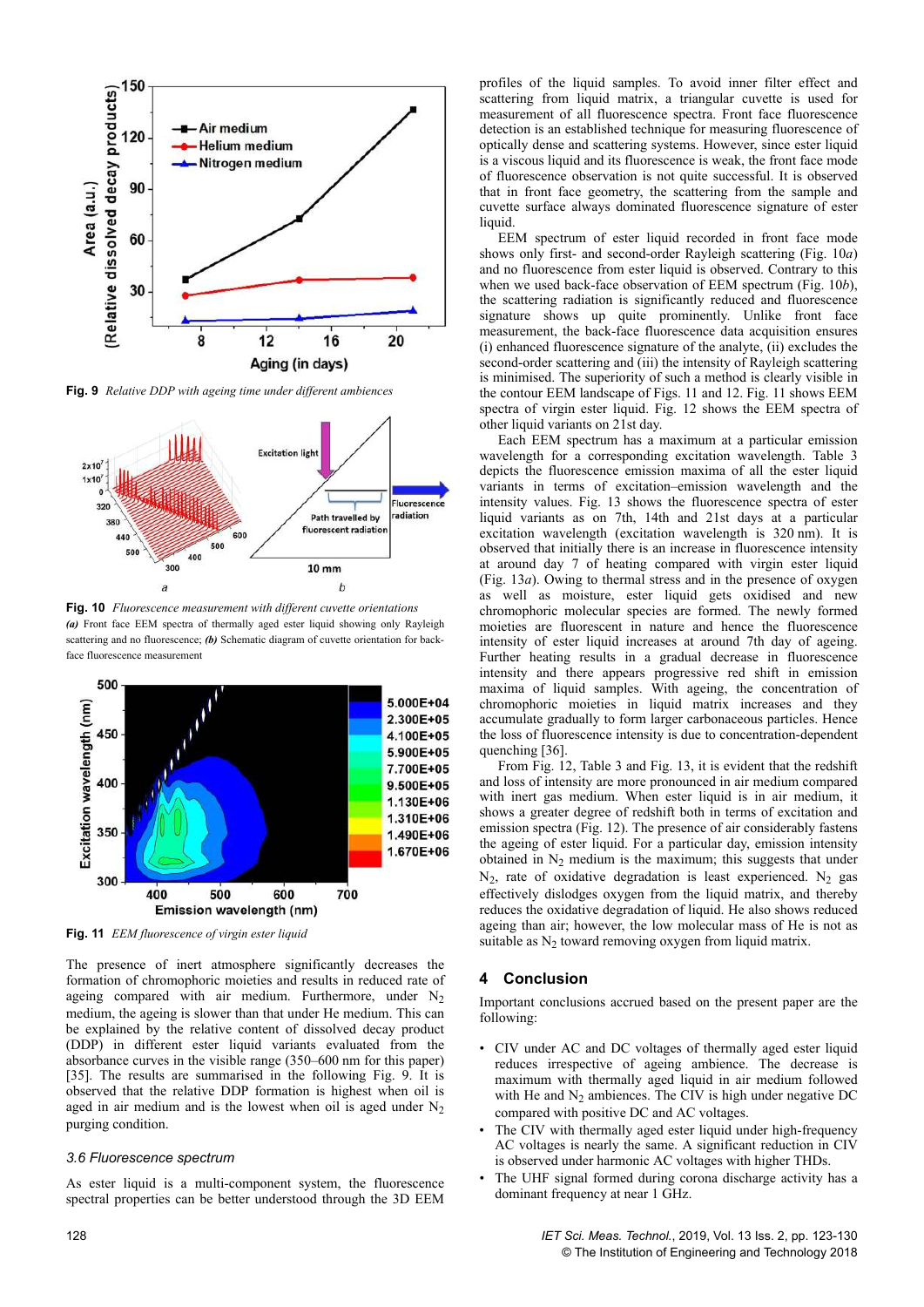

**Fig. 9** *Relative DDP with ageing time under different ambiences*



**Fig. 10** *Fluorescence measurement with different cuvette orientations (a)* Front face EEM spectra of thermally aged ester liquid showing only Rayleigh scattering and no fluorescence; *(b)* Schematic diagram of cuvette orientation for backface fluorescence measurement



**Fig. 11** *EEM fluorescence of virgin ester liquid*

The presence of inert atmosphere significantly decreases the formation of chromophoric moieties and results in reduced rate of ageing compared with air medium. Furthermore, under  $N_2$ medium, the ageing is slower than that under He medium. This can be explained by the relative content of dissolved decay product (DDP) in different ester liquid variants evaluated from the absorbance curves in the visible range (350–600 nm for this paper) [35]. The results are summarised in the following Fig. 9. It is observed that the relative DDP formation is highest when oil is aged in air medium and is the lowest when oil is aged under  $N_2$ purging condition.

#### *3.6 Fluorescence spectrum*

As ester liquid is a multi-component system, the fluorescence spectral properties can be better understood through the 3D EEM profiles of the liquid samples. To avoid inner filter effect and scattering from liquid matrix, a triangular cuvette is used for measurement of all fluorescence spectra. Front face fluorescence detection is an established technique for measuring fluorescence of optically dense and scattering systems. However, since ester liquid is a viscous liquid and its fluorescence is weak, the front face mode of fluorescence observation is not quite successful. It is observed that in front face geometry, the scattering from the sample and cuvette surface always dominated fluorescence signature of ester liquid.

EEM spectrum of ester liquid recorded in front face mode shows only first- and second-order Rayleigh scattering (Fig. 10*a*) and no fluorescence from ester liquid is observed. Contrary to this when we used back-face observation of EEM spectrum (Fig. 10*b*), the scattering radiation is significantly reduced and fluorescence signature shows up quite prominently. Unlike front face measurement, the back-face fluorescence data acquisition ensures (i) enhanced fluorescence signature of the analyte, (ii) excludes the second-order scattering and (iii) the intensity of Rayleigh scattering is minimised. The superiority of such a method is clearly visible in the contour EEM landscape of Figs. 11 and 12. Fig. 11 shows EEM spectra of virgin ester liquid. Fig. 12 shows the EEM spectra of other liquid variants on 21st day.

Each EEM spectrum has a maximum at a particular emission wavelength for a corresponding excitation wavelength. Table 3 depicts the fluorescence emission maxima of all the ester liquid variants in terms of excitation–emission wavelength and the intensity values. Fig. 13 shows the fluorescence spectra of ester liquid variants as on 7th, 14th and 21st days at a particular excitation wavelength (excitation wavelength is 320 nm). It is observed that initially there is an increase in fluorescence intensity at around day 7 of heating compared with virgin ester liquid (Fig. 13*a*). Owing to thermal stress and in the presence of oxygen as well as moisture, ester liquid gets oxidised and new chromophoric molecular species are formed. The newly formed moieties are fluorescent in nature and hence the fluorescence intensity of ester liquid increases at around 7th day of ageing. Further heating results in a gradual decrease in fluorescence intensity and there appears progressive red shift in emission maxima of liquid samples. With ageing, the concentration of chromophoric moieties in liquid matrix increases and they accumulate gradually to form larger carbonaceous particles. Hence the loss of fluorescence intensity is due to concentration-dependent quenching [36].

From Fig. 12, Table 3 and Fig. 13, it is evident that the redshift and loss of intensity are more pronounced in air medium compared with inert gas medium. When ester liquid is in air medium, it shows a greater degree of redshift both in terms of excitation and emission spectra (Fig. 12). The presence of air considerably fastens the ageing of ester liquid. For a particular day, emission intensity obtained in  $N_2$  medium is the maximum; this suggests that under  $N_2$ , rate of oxidative degradation is least experienced.  $N_2$  gas effectively dislodges oxygen from the liquid matrix, and thereby reduces the oxidative degradation of liquid. He also shows reduced ageing than air; however, the low molecular mass of He is not as suitable as  $N_2$  toward removing oxygen from liquid matrix.

## **4Conclusion**

Important conclusions accrued based on the present paper are the following:

- CIV under AC and DC voltages of thermally aged ester liquid reduces irrespective of ageing ambience. The decrease is maximum with thermally aged liquid in air medium followed with He and  $N_2$  ambiences. The CIV is high under negative DC compared with positive DC and AC voltages.
- The CIV with thermally aged ester liquid under high-frequency AC voltages is nearly the same. A significant reduction in CIV is observed under harmonic AC voltages with higher THDs.
- The UHF signal formed during corona discharge activity has a dominant frequency at near 1 GHz.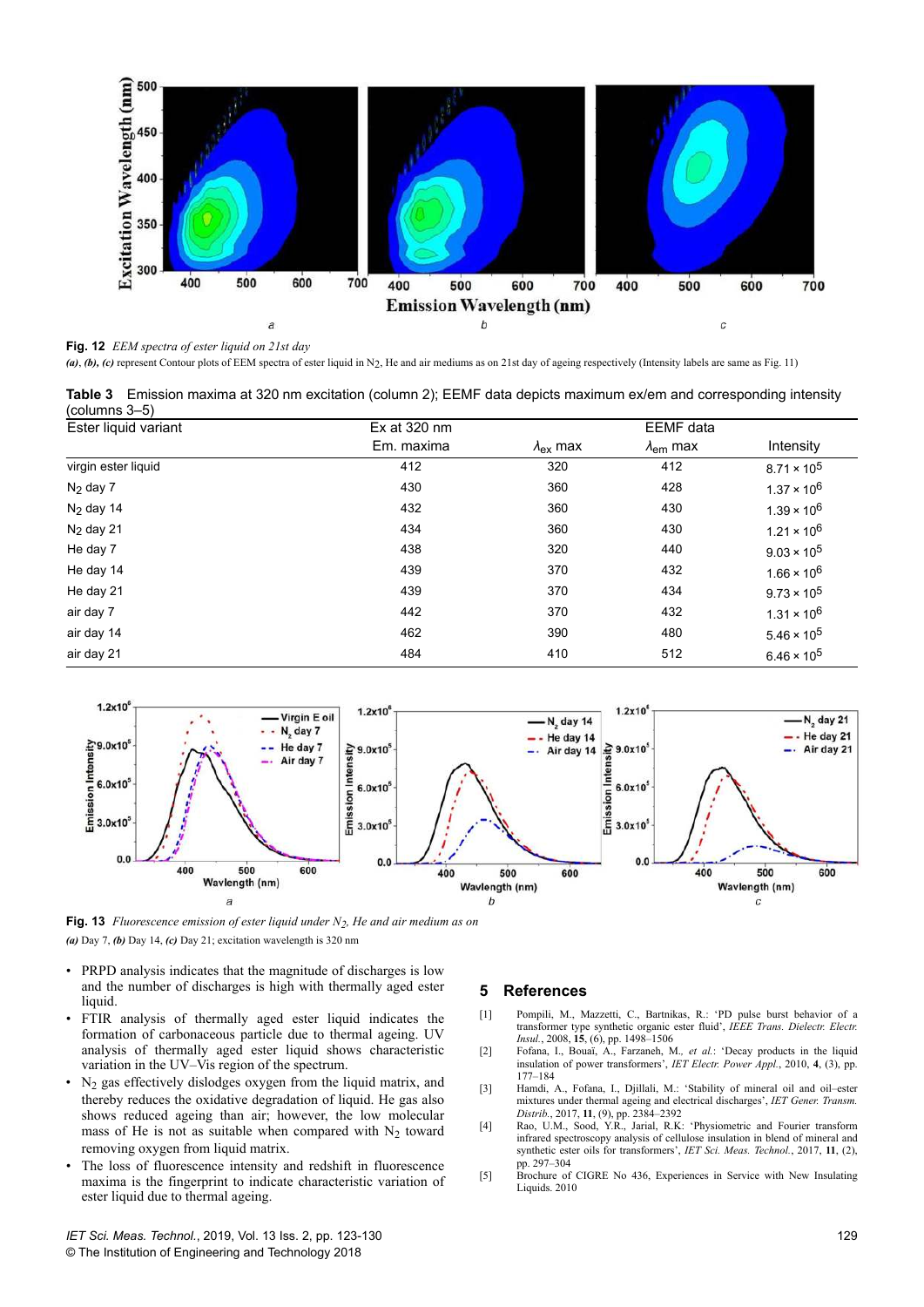

**Fig. 12** *EEM spectra of ester liquid on 21st day*

(a), (b), (c) represent Contour plots of EEM spectra of ester liquid in N<sub>2</sub>, He and air mediums as on 21st day of ageing respectively (Intensity labels are same as Fig. 11)

**Table 3** Emission maxima at 320 nm excitation (column 2); EEMF data depicts maximum ex/em and corresponding intensity (columns 3–5)

| Ester liquid variant | $Ex$ at 320 nm |                    | <b>EEMF</b> data       |                      |
|----------------------|----------------|--------------------|------------------------|----------------------|
|                      | Em. maxima     | $\lambda_{ex}$ max | $\lambda_{\rm em}$ max | Intensity            |
| virgin ester liquid  | 412            | 320                | 412                    | $8.71 \times 10^5$   |
| $N_2$ day 7          | 430            | 360                | 428                    | $1.37 \times 10^6$   |
| $N2$ day 14          | 432            | 360                | 430                    | $1.39 \times 10^6$   |
| $N2$ day 21          | 434            | 360                | 430                    | $1.21 \times 10^6$   |
| He day 7             | 438            | 320                | 440                    | $9.03 \times 10^5$   |
| He day 14            | 439            | 370                | 432                    | $1.66 \times 10^6$   |
| He day 21            | 439            | 370                | 434                    | $9.73 \times 10^5$   |
| air day 7            | 442            | 370                | 432                    | $1.31 \times 10^6$   |
| air day 14           | 462            | 390                | 480                    | $5.46 \times 10^5$   |
| air day 21           | 484            | 410                | 512                    | $6.46 \times 10^{5}$ |



**Fig. 13** *Fluorescence emission of ester liquid under N2, He and air medium as on (a)* Day 7, *(b)* Day 14, *(c)* Day 21; excitation wavelength is 320 nm

- PRPD analysis indicates that the magnitude of discharges is low and the number of discharges is high with thermally aged ester liquid.
- FTIR analysis of thermally aged ester liquid indicates the formation of carbonaceous particle due to thermal ageing. UV analysis of thermally aged ester liquid shows characteristic variation in the UV–Vis region of the spectrum.
- $N_2$  gas effectively dislodges oxygen from the liquid matrix, and thereby reduces the oxidative degradation of liquid. He gas also shows reduced ageing than air; however, the low molecular mass of He is not as suitable when compared with  $N_2$  toward removing oxygen from liquid matrix.
- The loss of fluorescence intensity and redshift in fluorescence maxima is the fingerprint to indicate characteristic variation of ester liquid due to thermal ageing.

## **5References**

- [1] Pompili, M., Mazzetti, C., Bartnikas, R.: 'PD pulse burst behavior of a transformer type synthetic organic ester fluid', *IEEE Trans. Dielectr. Electr. Insul.*, 2008, **15**, (6), pp. 1498–1506
- [2] Fofana, I., Bouaï, A., Farzaneh, M.*, et al.*: 'Decay products in the liquid insulation of power transformers', *IET Electr. Power Appl.*, 2010, **4**, (3), pp. 177–184
- [3] Hamdi, A., Fofana, I., Djillali, M.: 'Stability of mineral oil and oil–ester mixtures under thermal ageing and electrical discharges', *IET Gener. Transm. Distrib.*, 2017, **11**, (9), pp. 2384–2392
- [4] Rao, U.M., Sood, Y.R., Jarial, R.K: 'Physiometric and Fourier transform infrared spectroscopy analysis of cellulose insulation in blend of mineral and synthetic ester oils for transformers', *IET Sci. Meas. Technol.*, 2017, **11**, (2), pp. 297–304
- [5] Brochure of CIGRE No 436, Experiences in Service with New Insulating Liquids. 2010